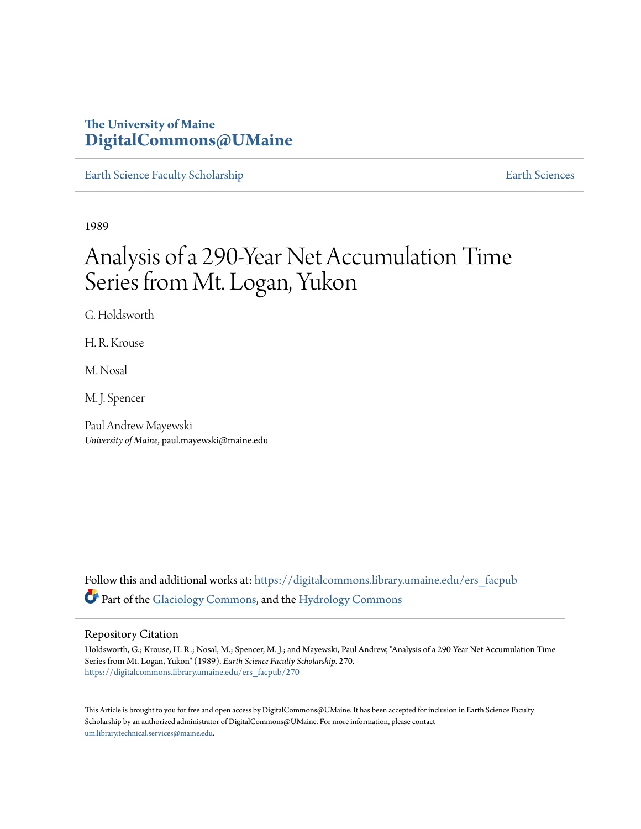# **The University of Maine [DigitalCommons@UMaine](https://digitalcommons.library.umaine.edu?utm_source=digitalcommons.library.umaine.edu%2Fers_facpub%2F270&utm_medium=PDF&utm_campaign=PDFCoverPages)**

[Earth Science Faculty Scholarship](https://digitalcommons.library.umaine.edu/ers_facpub?utm_source=digitalcommons.library.umaine.edu%2Fers_facpub%2F270&utm_medium=PDF&utm_campaign=PDFCoverPages) **[Earth Sciences](https://digitalcommons.library.umaine.edu/ers?utm_source=digitalcommons.library.umaine.edu%2Fers_facpub%2F270&utm_medium=PDF&utm_campaign=PDFCoverPages)** 

1989

# Analysis of a 290-Year Net Accumulation Time Series from Mt. Logan, Yukon

G. Holdsworth

H. R. Krouse

M. Nosal

M. J. Spencer

Paul Andrew Mayewski *University of Maine*, paul.mayewski@maine.edu

Follow this and additional works at: [https://digitalcommons.library.umaine.edu/ers\\_facpub](https://digitalcommons.library.umaine.edu/ers_facpub?utm_source=digitalcommons.library.umaine.edu%2Fers_facpub%2F270&utm_medium=PDF&utm_campaign=PDFCoverPages) Part of the [Glaciology Commons,](http://network.bepress.com/hgg/discipline/159?utm_source=digitalcommons.library.umaine.edu%2Fers_facpub%2F270&utm_medium=PDF&utm_campaign=PDFCoverPages) and the [Hydrology Commons](http://network.bepress.com/hgg/discipline/1054?utm_source=digitalcommons.library.umaine.edu%2Fers_facpub%2F270&utm_medium=PDF&utm_campaign=PDFCoverPages)

#### Repository Citation

Holdsworth, G.; Krouse, H. R.; Nosal, M.; Spencer, M. J.; and Mayewski, Paul Andrew, "Analysis of a 290-Year Net Accumulation Time Series from Mt. Logan, Yukon" (1989). *Earth Science Faculty Scholarship*. 270. [https://digitalcommons.library.umaine.edu/ers\\_facpub/270](https://digitalcommons.library.umaine.edu/ers_facpub/270?utm_source=digitalcommons.library.umaine.edu%2Fers_facpub%2F270&utm_medium=PDF&utm_campaign=PDFCoverPages)

This Article is brought to you for free and open access by DigitalCommons@UMaine. It has been accepted for inclusion in Earth Science Faculty Scholarship by an authorized administrator of DigitalCommons@UMaine. For more information, please contact [um.library.technical.services@maine.edu](mailto:um.library.technical.services@maine.edu).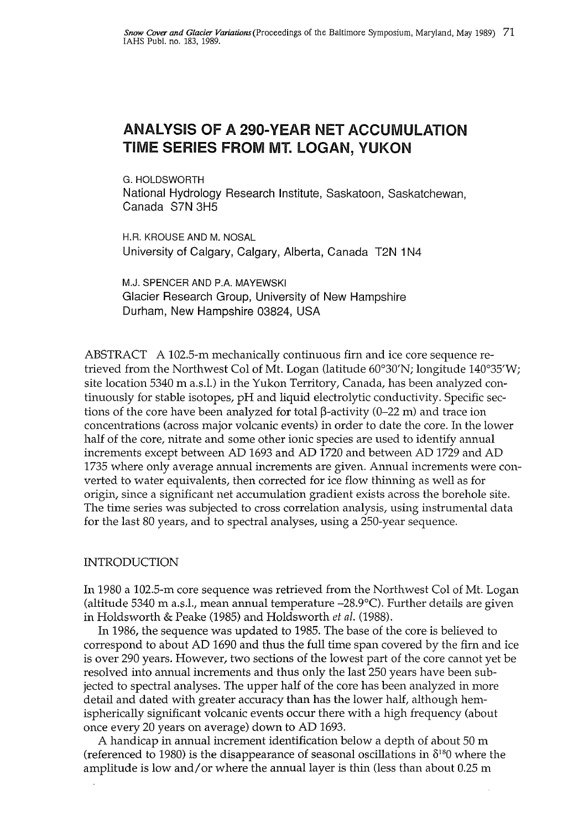## ANALYSIS OF A 290-YEAR NET ACCUMULATION TIME SERIES FROM MT. LOGAN, YUKON

G. HOLDSWORTH National Hydrology Research Institute, Saskatoon, Saskatchewan, Canada S7N 3H5

H.R. KROUSE AND M. NOSAL University of Calgary, Calgary, Alberta, Canada T2N 1N4

M.J. SPENCER AND P.A. MAYEWSKI Glacier Research Group, University of New Hampshire Durham, New Hampshire 03824, USA

ABSTRACT A 102.5-m mechanically continuous firn and ice core sequence retrieved from the Northwest Col of Mt. Logan (latitude 60°30'N; longitude 140°35'W; site location 5340 m a.s.l.) in the Yukon Territory, Canada, has been analyzed continuously for stable isotopes, pH and liquid electrolytic conductivity. Specific sections of the core have been analyzed for total  $\beta$ -activity (0-22 m) and trace ion concentrations (across major volcanic events) in order to date the core. In the lower half of the core, nitrate and some other ionic species are used to identify annual increments except between AD 1693 and AD 1720 and between AD 1729 and AD 1735 where only average annual increments are given. Annual increments were converted to water equivalents, then corrected for ice flow thinning as well as for origin, since a significant net accumulation gradient exists across the borehole site. The time series was subjected to cross correlation analysis, using instrumental data for the last 80 years, and to spectral analyses, using a 250-year sequence.

#### INTRODUCTION

In 1980 a 102.5-m core sequence was retrieved from the Northwest Col of Mt. Logan (altitude 5340 m a.s.l., mean annual temperature  $-28.9^{\circ}$ C). Further details are given in Holdsworth & Peake (1985) and Holdsworth *et al.* (1988).

In 1986, the sequence was updated to 1985. The base of the core is believed to correspond to about AD 1690 and thus the full time span covered by the firn and ice is over 290 years. However, two sections of the lowest part of the core cannot yet be resolved into annual increments and thus only the last 250 years have been subjected to spectral analyses. The upper half of the core has been analyzed in more detail and dated with greater accuracy than has the lower half, although hemispherically significant volcanic events occur there with a high frequency (about once every 20 years on average) down to AD 1693.

A handicap in annual increment identification below a depth of about 50 m (referenced to 1980) is the disappearance of seasonal oscillations in  $\delta^{18}0$  where the amplitude is low and/or where the annual layer is thin (less than about 0.25 m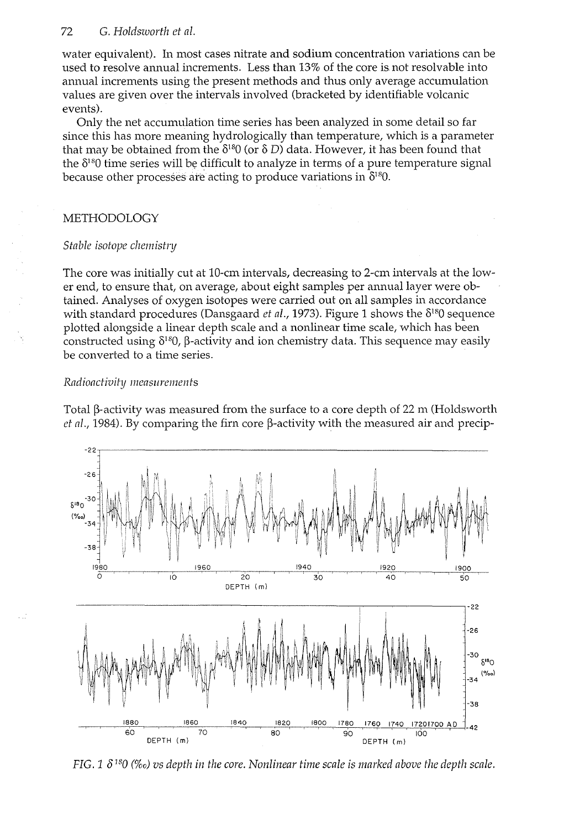#### 72 *G. Holdsworth et al.*

water equivalent). In most cases nitrate and sodium concentration variations can be used to resolve annual increments. Less than 13% of the core is not resolvable into annual increments using the present methods and thus only average accumulation values are given over the intervals involved (bracketed by identifiable volcanic events).

Only the net accumulation time series has been analyzed in some detail so far since this has more meaning hydrologically than temperature, which is a parameter that may be obtained from the  $\delta^{18}0$  (or  $\delta$  D) data. However, it has been found that the  $\delta^{18}0$  time series will be difficult to analyze in terms of a pure temperature signal because other processes are acting to produce variations in  $\delta^{18}0$ .

#### METHODOLOGY

#### *Stable isotope chemistry*

The core was initially cut at 10-cm intervals, decreasing to 2-cm intervals at the lower end, to ensure that, on average, about eight samples per annual layer were obtained. Analyses of oxygen isotopes were carried out on all samples in accordance with standard procedures (Dansgaard *et al.*, 1973). Figure 1 shows the  $\delta^{18}0$  sequence plotted alongside a linear depth scale and a nonlinear time scale, which has been constructed using  $\delta^{18}$ ,  $\beta$ -activity and ion chemistry data. This sequence may easily be converted to a time series.

#### *Radioactivity measurements*

Total  $\beta$ -activity was measured from the surface to a core depth of 22 m (Holdsworth *et al.,* 1984). By comparing the firn core  $\beta$ -activity with the measured air and precip-



*FIG.* 1  $\delta^{18}$ 0 (‰) vs depth in the core. Nonlinear time scale is marked above the depth scale.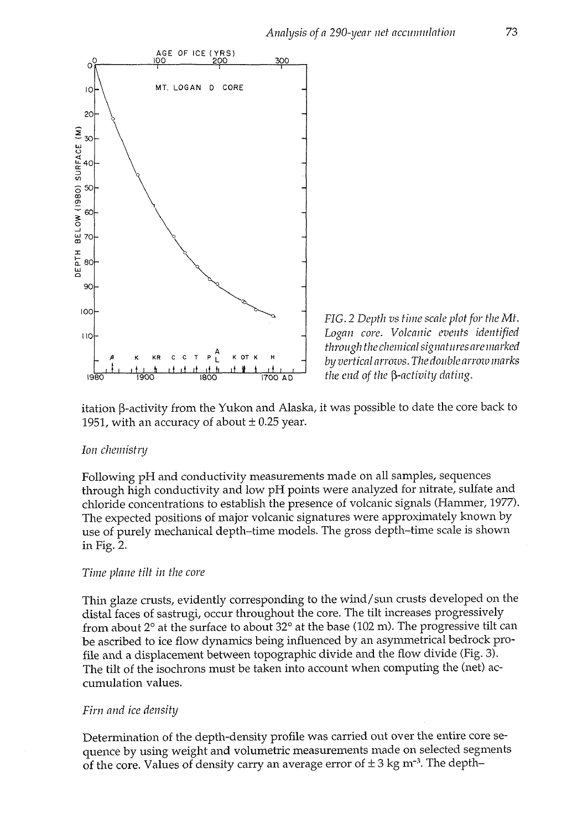



itation ß-activity from the Yukon and Alaska, it was possible to date the core back to 1951, with an accuracy of about  $\pm$  0.25 year.

#### *Ion chemistry*

Following pH and conductivity measurements made on all samples, sequences through high conductivity and low pH points were analyzed for nitrate, sulfate and chloride concentrations to establish the presence of volcanic signals (Hammer, 1977). The expected positions of major volcanic signatures were approximately known by use of purely mechanical depth-time models. The gross depth-time scale is shown in Fig. 2.

#### *Time plane tilt in the core*

Thin glaze crusts, evidently corresponding to the wind/sun crusts developed on the distal faces of sastrugi, occur throughout the core. The tilt increases progressively from about 2° at the surface to about 32° at the base (102 m). The progressive tilt can be ascribed to ice flow dynamics being influenced by an asymmetrical bedrock profile and a displacement between topographic divide and the flow divide (Fig. 3). The tilt of the isochrons must be taken into account when computing the (net) accumulation values.

#### *Tim and ice density*

Determination of the depth-density profile was carried out over the entire core sequence by using weight and volumetric measurements made on selected segments of the core. Values of density carry an average error of  $\pm$  3 kg m<sup>-3</sup>. The depth-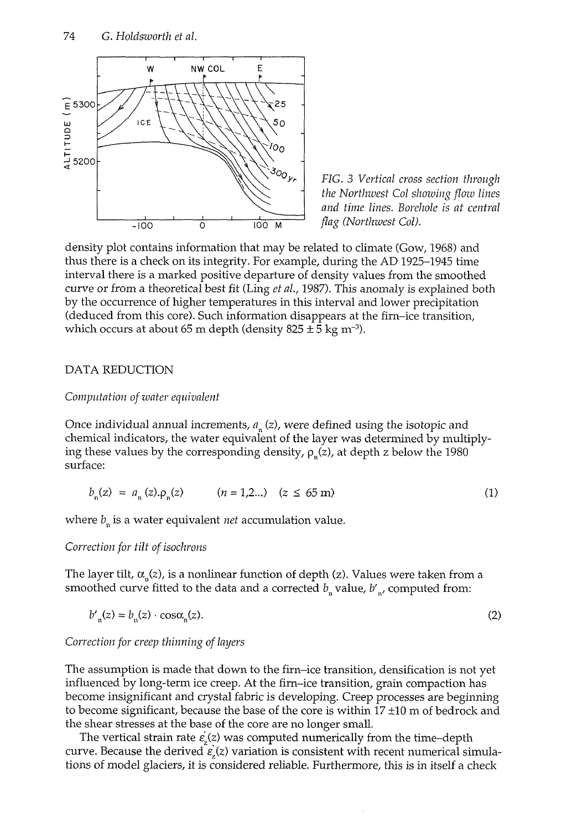

*FIG. 3 Vertical cross section through the Northwest Col showing flow lines and time lines. Borehole is at central flag (Northwest Col).* 

density plot contains information that may be related to climate (Gow, 1968) and thus there is a check on its integrity. For example, during the AD 1925-1945 time interval there is a marked positive departure of density values from the smoothed curve or from a theoretical best fit (Ling *et al,* 1987). This anomaly is explained both by the occurrence of higher temperatures in this interval and lower precipitation (deduced from this core). Such information disappears at the firn-ice transition, which occurs at about 65 m depth (density 825  $\pm$  5 kg m<sup>-3</sup>).

#### DATA REDUCTION

#### *Computation of water equivalent*

Once individual annual increments, *an* (z), were defined using the isotopic and chemical indicators, the water equivalent of the layer was determined by multiplying these values by the corresponding density,  $\rho_n(z)$ , at depth z below the 1980 surface:

$$
b_n(z) = a_n(z) \cdot \rho_n(z) \qquad (n = 1, 2...) \quad (z \le 65 \text{ m}) \tag{1}
$$

where *bn* is a water equivalent *net* accumulation value.

#### *Correction for tilt of isochrons*

The layer tilt,  $\alpha_{n}(z)$ , is a nonlinear function of depth (z). Values were taken from a smoothed curve fitted to the data and a corrected  $b_n$  value,  $b'_n$ , computed from:

$$
b'_{n}(z) = b_{n}(z) \cdot \cos \alpha_{n}(z). \tag{2}
$$

*Correction for creep thinning of layers* 

The assumption is made that down to the firn-ice transition, densification is not yet influenced by long-term ice creep. At the firn-ice transition, grain compaction has become insignificant and crystal fabric is developing. Creep processes are beginning to become significant, because the base of the core is within 17 ±10 m of bedrock and the shear stresses at the base of the core are no longer small.

The vertical strain rate  $\varepsilon$ <sub>*(z)*</sub> was computed numerically from the time-depth curve. Because the derived  $\varepsilon$ <sub>s</sub> $(z)$  variation is consistent with recent numerical simulations of model glaciers, it is considered reliable. Furthermore, this is in itself a check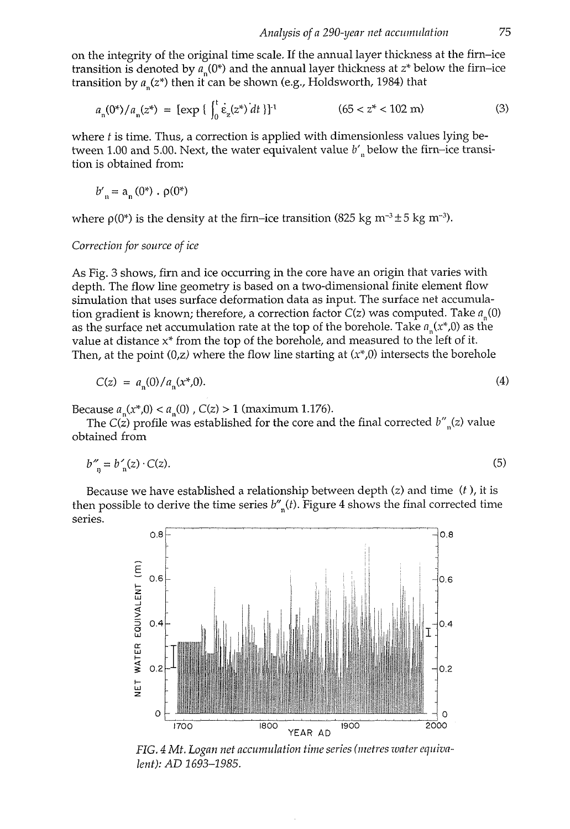on the integrity of the original time scale. If the annual layer thickness at the firn-ice transition is denoted by  $a_n(0^*)$  and the annual layer thickness at  $z^*$  below the firn-ice transition by  $a_n(z^*)$  then it can be shown (e.g., Holdsworth, 1984) that

$$
a_n(0^*)/a_n(z^*) = [\exp\left\{\int_0^1 \dot{\varepsilon}_z(z^*) dt\right\}]^1 \tag{3}
$$

where *t* is time. Thus, a correction is applied with dimensionless values lying between 1.00 and 5.00. Next, the water equivalent value *b'n* below the firn-ice transition is obtained from:

$$
b'_n = a_n(0^*) \cdot \rho(0^*)
$$

where  $\rho(0^*)$  is the density at the firn-ice transition (825 kg m<sup>-3</sup> ± 5 kg m<sup>-3</sup>).

#### *Correction for source of ice*

As Fig. 3 shows, firn and ice occurring in the core have an origin that varies with depth. The flow line geometry is based on a two-dimensional finite element flow simulation that uses surface deformation data as input. The surface net accumulation gradient is known; therefore, a correction factor  $C(z)$  was computed. Take  $a_{n}(0)$ as the surface net accumulation rate at the top of the borehole. Take *an(x\*,0)* as the value at distance x\* from the top of the borehole, and measured to the left of it. Then, at the point  $(0, z)$  where the flow line starting at  $(x*, 0)$  intersects the borehole

$$
C(z) = a_n(0)/a_n(x^*,0). \tag{4}
$$

Because  $a_n(x^*,0) < a_n(0)$ ,  $C(z) > 1$  (maximum 1.176).

The C(z) profile was established for the core and the final corrected *b"n(z)* value obtained from

$$
b''_{n} = b'_{n}(z) \cdot C(z). \tag{5}
$$

Because we have established a relationship between depth  $(z)$  and time  $(t)$ , it is then possible to derive the time series *b"n(t).* Figure 4 shows the final corrected time series.



*FIG. 4 Mt. Logan net accumulation time series (metres water equivalent): AD 1693-1985.*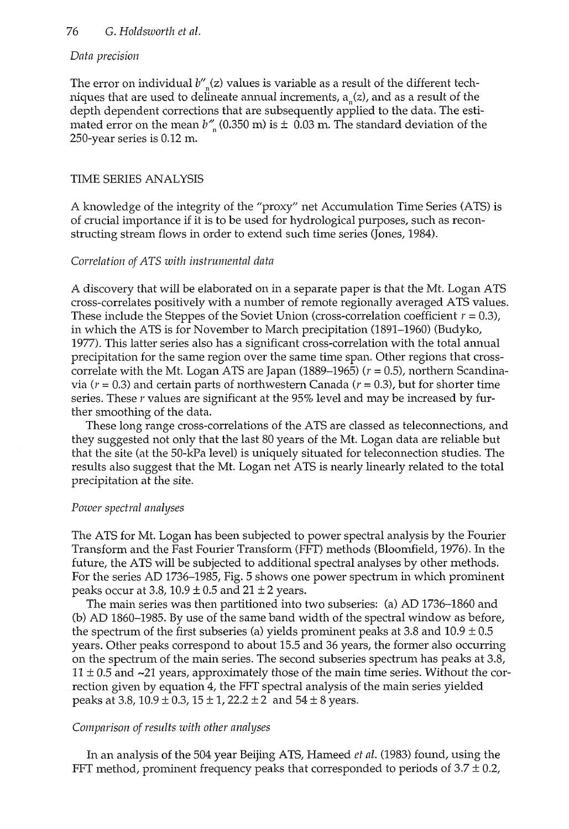#### 76 G. *Holdsworth et al.*

#### *Data precision*

The error on individual *b"n(z)* values is variable as a result of the different techniques that are used to delineate annual increments,  $a(x)$ , and as a result of the depth dependent corrections that are subsequently applied to the data. The estimated error on the mean  $b^{\prime\prime}$  (0.350 m) is  $\pm$  0.03 m. The standard deviation of the 250-year series is 0.12 m.

#### TIME SERIES ANALYSIS

A knowledge of the integrity of the "proxy" net Accumulation Time Series (ATS) is of crucial importance if it is to be used for hydrological purposes, such as reconstructing stream flows in order to extend such time series (Jones, 1984).

#### *Correlation of ATS with instrumental data*

A discovery that will be elaborated on in a separate paper is that the Mt. Logan ATS cross-correlates positively with a number of remote regionally averaged ATS values. These include the Steppes of the Soviet Union (cross-correlation coefficient *r =* 0.3), in which the ATS is for November to March precipitation (1891-1960) (Budyko, 1977). This latter series also has a significant cross-correlation with the total annual precipitation for the same region over the same time span. Other regions that crosscorrelate with the Mt. Logan ATS are Japan (1889–1965) ( $r = 0.5$ ), northern Scandinavia ( $r = 0.3$ ) and certain parts of northwestern Canada ( $r = 0.3$ ), but for shorter time series. These *r* values are significant at the 95% level and may be increased by further smoothing of the data.

These long range cross-correlations of the ATS are classed as teleconnections, and they suggested not only that the last 80 years of the Mt. Logan data are reliable but that the site (at the 50-kPa level) is uniquely situated for teleconnection studies. The results also suggest that the Mt. Logan net ATS is nearly linearly related to the total precipitation at the site.

#### *Power spectral analyses*

The ATS for Mt. Logan has been subjected to power spectral analysis by the Fourier Transform and the Fast Fourier Transform (FFT) methods (Bloomfield, 1976). In the future, the ATS will be subjected to additional spectral analyses by other methods. For the series AD 1736-1985, Fig. 5 shows one power spectrum in which prominent peaks occur at 3.8,  $10.9 \pm 0.5$  and  $21 \pm 2$  years.

The main series was then partitioned into two subseries: (a) AD 1736-1860 and (b) AD 1860-1985. By use of the same band width of the spectral window as before, the spectrum of the first subseries (a) yields prominent peaks at 3.8 and  $10.9 \pm 0.5$ years. Other peaks correspond to about 15.5 and 36 years, the former also occurring on the spectrum of the main series. The second subseries spectrum has peaks at 3.8,  $11 \pm 0.5$  and  $\sim$ 21 years, approximately those of the main time series. Without the correction given by equation 4, the FFT spectral analysis of the main series yielded peaks at 3.8,  $10.9 \pm 0.3$ ,  $15 \pm 1$ ,  $22.2 \pm 2$  and  $54 \pm 8$  years.

#### *Comparison of results with other analyses*

In an analysis of the 504 year Beijing ATS, Hameed *et al.* (1983) found, using the FFT method, prominent frequency peaks that corresponded to periods of  $3.7 \pm 0.2$ ,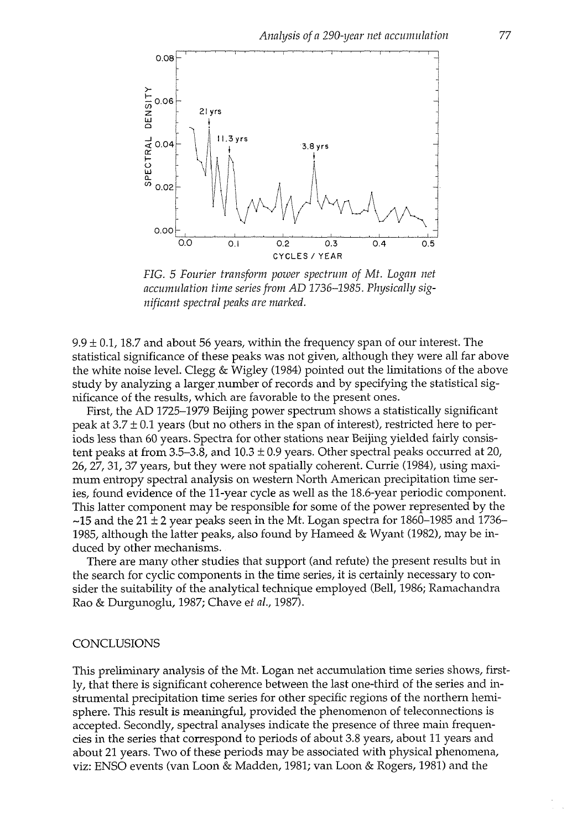

*FIG. 5 Fourier transform power spectrum of Mt. Logan net accumulation time series from AD 1736-1985. Physically significant spectral peaks are marked.* 

 $9.9 \pm 0.1$ , 18.7 and about 56 years, within the frequency span of our interest. The statistical significance of these peaks was not given, although they were all far above the white noise level. Clegg & Wigley (1984) pointed out the limitations of the above study by analyzing a larger number of records and by specifying the statistical significance of the results, which are favorable to the present ones.

First, the AD 1725-1979 Beijing power spectrum shows a statistically significant peak at  $3.7 \pm 0.1$  years (but no others in the span of interest), restricted here to periods less than 60 years. Spectra for other stations near Beijing yielded fairly consistent peaks at from 3.5–3.8, and  $10.3 \pm 0.9$  years. Other spectral peaks occurred at 20, 26,27, 31, 37 years, but they were not spatially coherent. Currie (1984), using maximum entropy spectral analysis on western North American precipitation time series, found evidence of the 11-year cycle as well as the 18.6-year periodic component. This latter component may be responsible for some of the power represented by the  $\sim$ 15 and the 21  $\pm$  2 year peaks seen in the Mt. Logan spectra for 1860–1985 and 1736– 1985, although the latter peaks, also found by Hameed & Wyant (1982), may be induced by other mechanisms.

There are many other studies that support (and refute) the present results but in the search for cyclic components in the time series, it is certainly necessary to consider the suitability of the analytical technique employed (Bell, 1986; Ramachandra Rao & Durgunoglu, 1987; Chave *et ai,* 1987).

#### **CONCLUSIONS**

This preliminary analysis of the Mt. Logan net accumulation time series shows, firstly, that there is significant coherence between the last one-third of the series and instrumental precipitation time series for other specific regions of the northern hemisphere. This result is meaningful, provided the phenomenon of teleconnections is accepted. Secondly, spectral analyses indicate the presence of three main frequencies in the series that correspond to periods of about 3.8 years, about 11 years and about 21 years. Two of these periods may be associated with physical phenomena, viz: ENSO events (van Loon & Madden, 1981; van Loon & Rogers, 1981) and the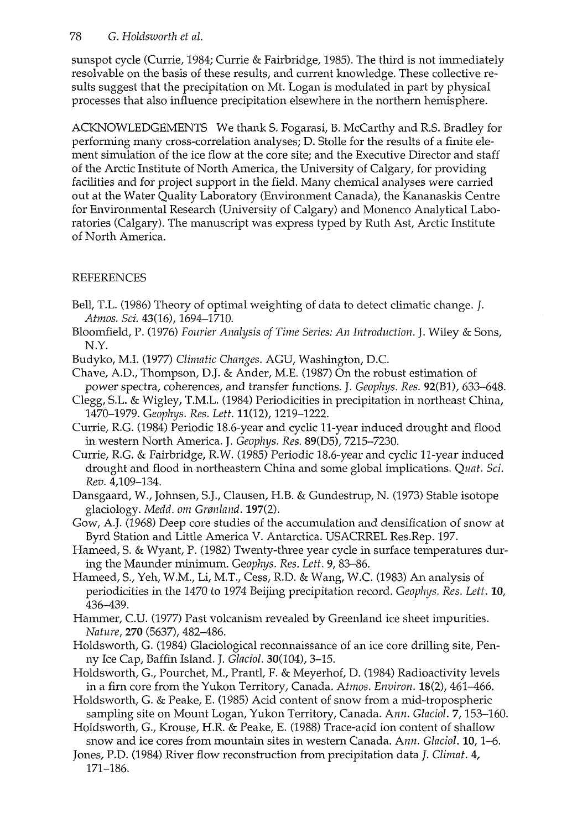## 78 *G. Holdsworth et al.*

sunspot cycle (Currie, 1984; Currie & Fairbridge, 1985). The third is not immediately resolvable on the basis of these results, and current knowledge. These collective results suggest that the precipitation on Mt. Logan is modulated in part by physical processes that also influence precipitation elsewhere in the northern hemisphere.

ACKNOWLEDGEMENTS We thank S. Fogarasi, B. McCarthy and R.S. Bradley for performing many cross-correlation analyses; D. Stolle for the results of a finite element simulation of the ice flow at the core site; and the Executive Director and staff of the Arctic Institute of North America, the University of Calgary, for providing facilities and for project support in the field. Many chemical analyses were carried out at the Water Quality Laboratory (Environment Canada), the Kananaskis Centre for Environmental Research (University of Calgary) and Monenco Analytical Laboratories (Calgary). The manuscript was express typed by Ruth Ast, Arctic Institute of North America.

## REFERENCES

- Bell, T.L. (1986) Theory of optimal weighting of data to detect climatic change. /. *Atmos. Sci.* 43(16), 1694-1710.
- Bloomfield, P. (1976) *Fourier Analysis of Time Series: An Introduction.* J. Wiley & Sons, N.Y.
- Budyko, M.I. (1977) *Climatic Changes.* AGU, Washington, D.C.
- Chave, A.D., Thompson, D.J. & Ander, M.E. (1987) On the robust estimation of power spectra, coherences, and transfer functions. J. *Geophys. Res.* 92(B1), 633-648.
- Clegg, S.L. & Wigley, T.M.L. (1984) Periodicities in precipitation in northeast China, 1470-1979. *Geophys. Res. Lett.* 11(12), 1219-1222.
- Currie, R.G. (1984) Periodic 18.6-year and cyclic 11-year induced drought and flood in western North America. J. *Geophys. Res.* 89(D5), 7215-7230.
- Currie, R.G. & Fairbridge, R.W. (1985) Periodic 18.6-year and cyclic 11-year induced drought and flood in northeastern China and some global implications. *Quat. Sci. Rev.* 4,109-134.
- Dansgaard, W., Johnsen, S.J., Clausen, H.B. & Gundestrup, N. (1973) Stable isotope glaciology. *Medd. om Granlanà.* 197(2).
- Gow, A.J. (1968) Deep core studies of the accumulation and densification of snow at Byrd Station and Little America V. Antarctica. USACRREL Res.Rep. 197.
- Hameed, S. & Wyant, P. (1982) Twenty-three year cycle in surface temperatures during the Maunder minimum. *Geophys. Res. Lett.* 9,83-86.
- Hameed, S., Yeh, W.M., Li, M.T., Cess, R.D. & Wang, W.C. (1983) An analysis of periodicities in the 1470 to 1974 Beijing precipitation record. *Geophys. Res. Lett.* 10, 436-439.
- Hammer, C.U. (1977) Past volcanism revealed by Greenland ice sheet impurities. *Nature,* 270 (5637), 482-486.
- Holdsworth, G. (1984) Glaciological reconnaissance of an ice core drilling site, Penny Ice Cap, Baffin Island. J. *Glaciol.* 30(104), 3-15.
- Holdsworth, G., Pourchet, M., Prantl, F. & Meyerhof, D. (1984) Radioactivity levels in a firn core from the Yukon Territory, Canada. *Atmos. Environ.* 18(2), 461^466.
- Holdsworth, G. & Peake, E. (1985) Acid content of snow from a mid-tropospheric sampling site on Mount Logan, Yukon Territory, Canada. *Ann. Glaciol. 7,*153-160.
- Holdsworth, G., Krouse, H.R. & Peake, E. (1988) Trace-acid ion content of shallow snow and ice cores from mountain sites in western Canada. *Ann. Glaciol.* 10,1-6.
- Jones, P.D. (1984) River flow reconstruction from precipitation data /. *Climat.* 4, 171-186.